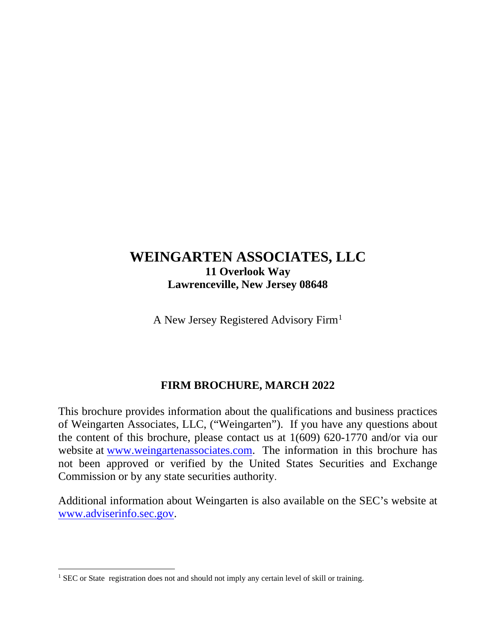# **WEINGARTEN ASSOCIATES, LLC 11 Overlook Way Lawrenceville, New Jersey 08648**

A New Jersey Registered Advisory Firm[1](#page-0-0)

# **FIRM BROCHURE, MARCH 2022**

This brochure provides information about the qualifications and business practices of Weingarten Associates, LLC, ("Weingarten"). If you have any questions about the content of this brochure, please contact us at 1(609) 620-1770 and/or via our website at [www.weingartenassociates.com.](http://www.weingartenassociates.com/) The information in this brochure has not been approved or verified by the United States Securities and Exchange Commission or by any state securities authority.

Additional information about Weingarten is also available on the SEC's website at [www.adviserinfo.sec.gov.](http://www.adviserinfo.sec.gov/)

<span id="page-0-0"></span><sup>&</sup>lt;sup>1</sup> SEC or State registration does not and should not imply any certain level of skill or training.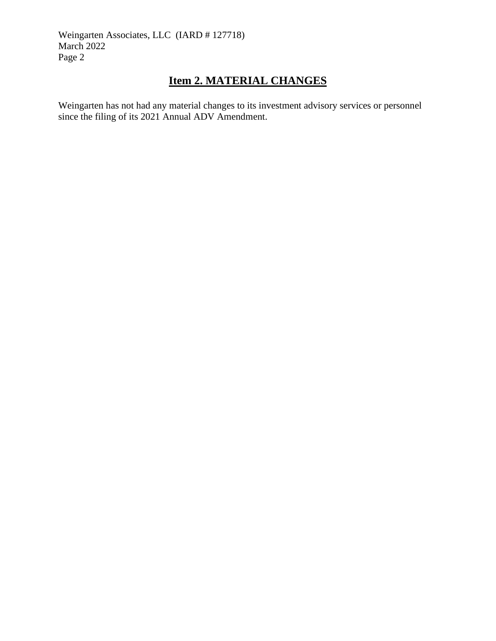### **Item 2. MATERIAL CHANGES**

Weingarten has not had any material changes to its investment advisory services or personnel since the filing of its 2021 Annual ADV Amendment.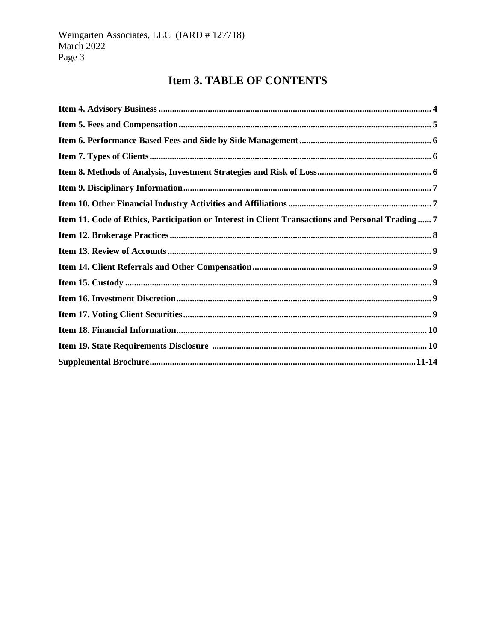# **Item 3. TABLE OF CONTENTS**

| Item 11. Code of Ethics, Participation or Interest in Client Transactions and Personal Trading 7 |
|--------------------------------------------------------------------------------------------------|
|                                                                                                  |
|                                                                                                  |
|                                                                                                  |
|                                                                                                  |
|                                                                                                  |
|                                                                                                  |
|                                                                                                  |
|                                                                                                  |
|                                                                                                  |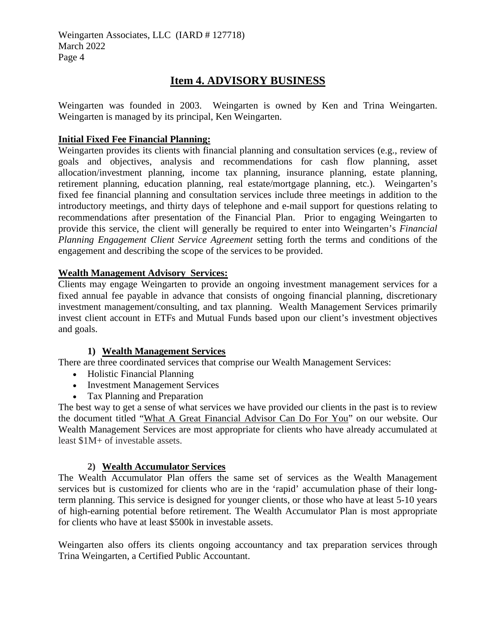### **Item 4. ADVISORY BUSINESS**

Weingarten was founded in 2003. Weingarten is owned by Ken and Trina Weingarten. Weingarten is managed by its principal, Ken Weingarten.

### **Initial Fixed Fee Financial Planning:**

Weingarten provides its clients with financial planning and consultation services (e.g., review of goals and objectives, analysis and recommendations for cash flow planning, asset allocation/investment planning, income tax planning, insurance planning, estate planning, retirement planning, education planning, real estate/mortgage planning, etc.). Weingarten's fixed fee financial planning and consultation services include three meetings in addition to the introductory meetings, and thirty days of telephone and e-mail support for questions relating to recommendations after presentation of the Financial Plan. Prior to engaging Weingarten to provide this service, the client will generally be required to enter into Weingarten's *Financial Planning Engagement Client Service Agreement* setting forth the terms and conditions of the engagement and describing the scope of the services to be provided.

#### **Wealth Management Advisory Services:**

Clients may engage Weingarten to provide an ongoing investment management services for a fixed annual fee payable in advance that consists of ongoing financial planning, discretionary investment management/consulting, and tax planning. Wealth Management Services primarily invest client account in ETFs and Mutual Funds based upon our client's investment objectives and goals.

#### **1) Wealth Management Services**

There are three coordinated services that comprise our Wealth Management Services:

- Holistic Financial Planning
- Investment Management Services
- Tax Planning and Preparation

The best way to get a sense of what services we have provided our clients in the past is to review the document titled ["What A Great Financial Advisor Can Do For You"](https://www.weingartenassociates.com/what-great-financial-advisor-can-do-you) on our website. Our Wealth Management Services are most appropriate for clients who have already accumulated at least \$1M+ of investable assets.

#### **2) Wealth Accumulator Services**

The Wealth Accumulator Plan offers the same set of services as the Wealth Management services but is customized for clients who are in the 'rapid' accumulation phase of their longterm planning. This service is designed for younger clients, or those who have at least 5-10 years of high-earning potential before retirement. The Wealth Accumulator Plan is most appropriate for clients who have at least \$500k in investable assets.

Weingarten also offers its clients ongoing accountancy and tax preparation services through Trina Weingarten, a Certified Public Accountant.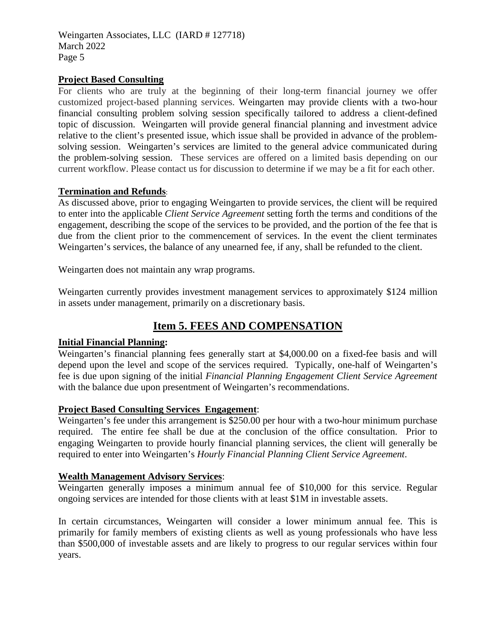#### **Project Based Consulting**

For clients who are truly at the beginning of their long-term financial journey we offer customized project-based planning services. Weingarten may provide clients with a two-hour financial consulting problem solving session specifically tailored to address a client-defined topic of discussion. Weingarten will provide general financial planning and investment advice relative to the client's presented issue, which issue shall be provided in advance of the problemsolving session. Weingarten's services are limited to the general advice communicated during the problem-solving session. These services are offered on a limited basis depending on our current workflow. Please contact us for discussion to determine if we may be a fit for each other.

#### **Termination and Refunds**:

As discussed above, prior to engaging Weingarten to provide services, the client will be required to enter into the applicable *Client Service Agreement* setting forth the terms and conditions of the engagement, describing the scope of the services to be provided, and the portion of the fee that is due from the client prior to the commencement of services. In the event the client terminates Weingarten's services, the balance of any unearned fee, if any, shall be refunded to the client.

Weingarten does not maintain any wrap programs.

Weingarten currently provides investment management services to approximately \$124 million in assets under management, primarily on a discretionary basis.

### **Item 5. FEES AND COMPENSATION**

#### **Initial Financial Planning:**

Weingarten's financial planning fees generally start at \$4,000.00 on a fixed-fee basis and will depend upon the level and scope of the services required. Typically, one-half of Weingarten's fee is due upon signing of the initial *Financial Planning Engagement Client Service Agreement* with the balance due upon presentment of Weingarten's recommendations.

#### **Project Based Consulting Services Engagement**:

Weingarten's fee under this arrangement is \$250.00 per hour with a two-hour minimum purchase required. The entire fee shall be due at the conclusion of the office consultation. Prior to engaging Weingarten to provide hourly financial planning services, the client will generally be required to enter into Weingarten's *Hourly Financial Planning Client Service Agreement*.

#### **Wealth Management Advisory Services**:

Weingarten generally imposes a minimum annual fee of \$10,000 for this service. Regular ongoing services are intended for those clients with at least \$1M in investable assets.

In certain circumstances, Weingarten will consider a lower minimum annual fee. This is primarily for family members of existing clients as well as young professionals who have less than \$500,000 of investable assets and are likely to progress to our regular services within four years.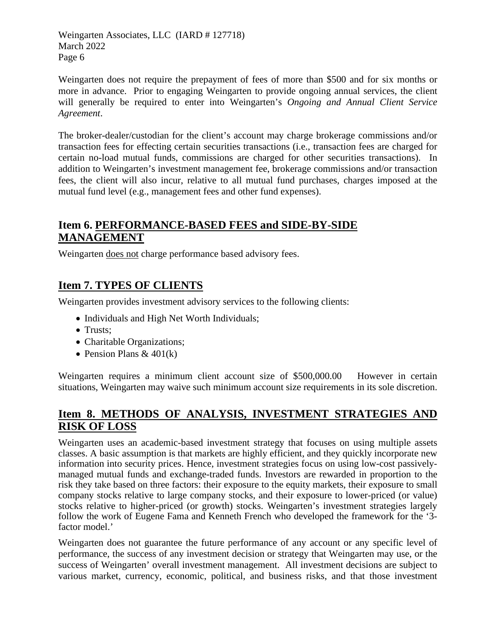Weingarten does not require the prepayment of fees of more than \$500 and for six months or more in advance. Prior to engaging Weingarten to provide ongoing annual services, the client will generally be required to enter into Weingarten's *Ongoing and Annual Client Service Agreement*.

The broker-dealer/custodian for the client's account may charge brokerage commissions and/or transaction fees for effecting certain securities transactions (i.e., transaction fees are charged for certain no-load mutual funds, commissions are charged for other securities transactions). In addition to Weingarten's investment management fee, brokerage commissions and/or transaction fees, the client will also incur, relative to all mutual fund purchases, charges imposed at the mutual fund level (e.g., management fees and other fund expenses).

### **Item 6. PERFORMANCE-BASED FEES and SIDE-BY-SIDE MANAGEMENT**

Weingarten does not charge performance based advisory fees.

# **Item 7. TYPES OF CLIENTS**

Weingarten provides investment advisory services to the following clients:

- Individuals and High Net Worth Individuals;
- Trusts:
- Charitable Organizations;
- Pension Plans  $& 401(k)$

Weingarten requires a minimum client account size of \$500,000.00 However in certain situations, Weingarten may waive such minimum account size requirements in its sole discretion.

# **Item 8. METHODS OF ANALYSIS, INVESTMENT STRATEGIES AND RISK OF LOSS**

Weingarten uses an academic-based investment strategy that focuses on using multiple assets classes. A basic assumption is that markets are highly efficient, and they quickly incorporate new information into security prices. Hence, investment strategies focus on using low-cost passivelymanaged mutual funds and exchange-traded funds. Investors are rewarded in proportion to the risk they take based on three factors: their exposure to the equity markets, their exposure to small company stocks relative to large company stocks, and their exposure to lower-priced (or value) stocks relative to higher-priced (or growth) stocks. Weingarten's investment strategies largely follow the work of Eugene Fama and Kenneth French who developed the framework for the '3 factor model.'

Weingarten does not guarantee the future performance of any account or any specific level of performance, the success of any investment decision or strategy that Weingarten may use, or the success of Weingarten' overall investment management. All investment decisions are subject to various market, currency, economic, political, and business risks, and that those investment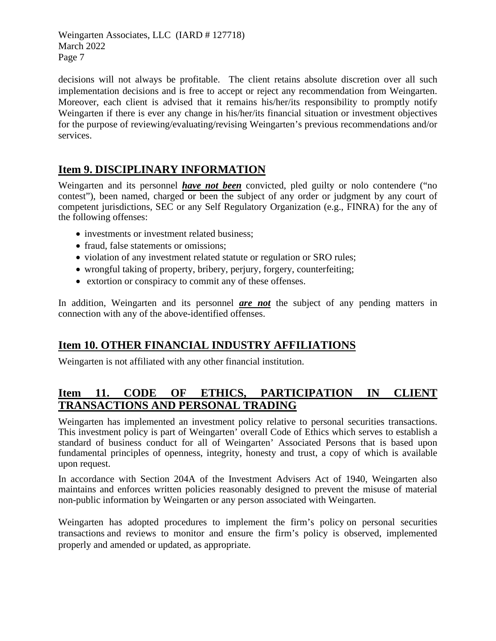decisions will not always be profitable. The client retains absolute discretion over all such implementation decisions and is free to accept or reject any recommendation from Weingarten. Moreover, each client is advised that it remains his/her/its responsibility to promptly notify Weingarten if there is ever any change in his/her/its financial situation or investment objectives for the purpose of reviewing/evaluating/revising Weingarten's previous recommendations and/or services.

# **Item 9. DISCIPLINARY INFORMATION**

Weingarten and its personnel *have not been* convicted, pled guilty or nolo contendere ("no contest"), been named, charged or been the subject of any order or judgment by any court of competent jurisdictions, SEC or any Self Regulatory Organization (e.g., FINRA) for the any of the following offenses:

- investments or investment related business;
- fraud, false statements or omissions:
- violation of any investment related statute or regulation or SRO rules;
- wrongful taking of property, bribery, perjury, forgery, counterfeiting;
- extortion or conspiracy to commit any of these offenses.

In addition, Weingarten and its personnel *are not* the subject of any pending matters in connection with any of the above-identified offenses.

# **Item 10. OTHER FINANCIAL INDUSTRY AFFILIATIONS**

Weingarten is not affiliated with any other financial institution.

### **Item 11. CODE OF ETHICS, PARTICIPATION IN CLIENT TRANSACTIONS AND PERSONAL TRADING**

Weingarten has implemented an investment policy relative to personal securities transactions. This investment policy is part of Weingarten' overall Code of Ethics which serves to establish a standard of business conduct for all of Weingarten' Associated Persons that is based upon fundamental principles of openness, integrity, honesty and trust, a copy of which is available upon request.

In accordance with Section 204A of the Investment Advisers Act of 1940, Weingarten also maintains and enforces written policies reasonably designed to prevent the misuse of material non-public information by Weingarten or any person associated with Weingarten.

Weingarten has adopted procedures to implement the firm's policy on personal securities transactions and reviews to monitor and ensure the firm's policy is observed, implemented properly and amended or updated, as appropriate.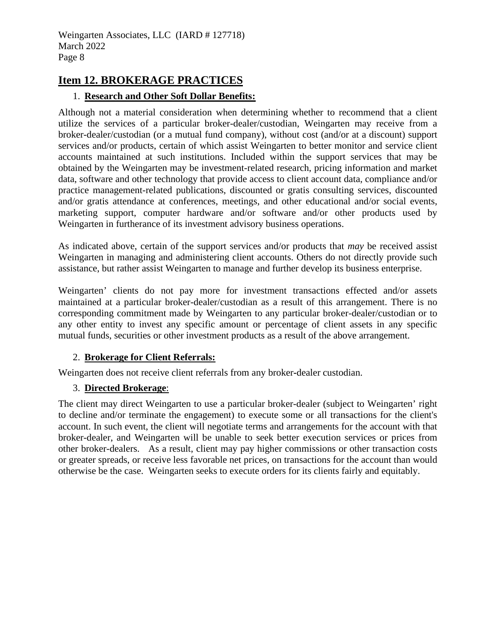### **Item 12. BROKERAGE PRACTICES**

### 1. **Research and Other Soft Dollar Benefits:**

Although not a material consideration when determining whether to recommend that a client utilize the services of a particular broker-dealer/custodian, Weingarten may receive from a broker-dealer/custodian (or a mutual fund company), without cost (and/or at a discount) support services and/or products, certain of which assist Weingarten to better monitor and service client accounts maintained at such institutions. Included within the support services that may be obtained by the Weingarten may be investment-related research, pricing information and market data, software and other technology that provide access to client account data, compliance and/or practice management-related publications, discounted or gratis consulting services, discounted and/or gratis attendance at conferences, meetings, and other educational and/or social events, marketing support, computer hardware and/or software and/or other products used by Weingarten in furtherance of its investment advisory business operations.

As indicated above, certain of the support services and/or products that *may* be received assist Weingarten in managing and administering client accounts. Others do not directly provide such assistance, but rather assist Weingarten to manage and further develop its business enterprise.

Weingarten' clients do not pay more for investment transactions effected and/or assets maintained at a particular broker-dealer/custodian as a result of this arrangement. There is no corresponding commitment made by Weingarten to any particular broker-dealer/custodian or to any other entity to invest any specific amount or percentage of client assets in any specific mutual funds, securities or other investment products as a result of the above arrangement.

#### 2. **Brokerage for Client Referrals:**

Weingarten does not receive client referrals from any broker**-**dealer custodian.

#### 3. **Directed Brokerage**:

The client may direct Weingarten to use a particular broker-dealer (subject to Weingarten' right to decline and/or terminate the engagement) to execute some or all transactions for the client's account. In such event, the client will negotiate terms and arrangements for the account with that broker-dealer, and Weingarten will be unable to seek better execution services or prices from other broker-dealers. As a result, client may pay higher commissions or other transaction costs or greater spreads, or receive less favorable net prices, on transactions for the account than would otherwise be the case. Weingarten seeks to execute orders for its clients fairly and equitably.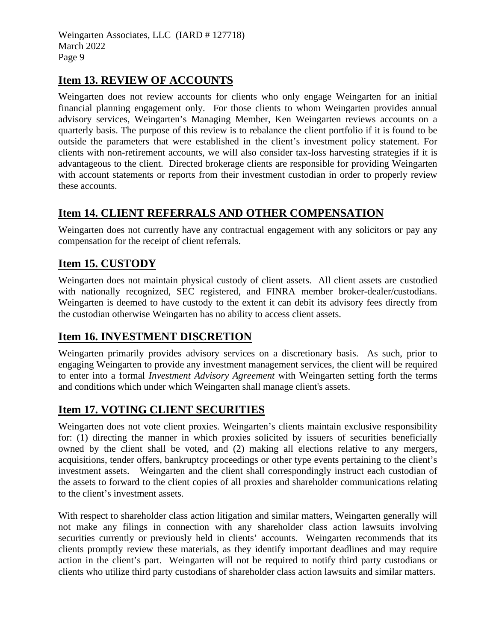### **Item 13. REVIEW OF ACCOUNTS**

Weingarten does not review accounts for clients who only engage Weingarten for an initial financial planning engagement only. For those clients to whom Weingarten provides annual advisory services, Weingarten's Managing Member, Ken Weingarten reviews accounts on a quarterly basis. The purpose of this review is to rebalance the client portfolio if it is found to be outside the parameters that were established in the client's investment policy statement. For clients with non-retirement accounts, we will also consider tax-loss harvesting strategies if it is advantageous to the client. Directed brokerage clients are responsible for providing Weingarten with account statements or reports from their investment custodian in order to properly review these accounts.

# **Item 14. CLIENT REFERRALS AND OTHER COMPENSATION**

Weingarten does not currently have any contractual engagement with any solicitors or pay any compensation for the receipt of client referrals.

# **Item 15. CUSTODY**

Weingarten does not maintain physical custody of client assets. All client assets are custodied with nationally recognized, SEC registered, and FINRA member broker-dealer/custodians. Weingarten is deemed to have custody to the extent it can debit its advisory fees directly from the custodian otherwise Weingarten has no ability to access client assets.

### **Item 16. INVESTMENT DISCRETION**

Weingarten primarily provides advisory services on a discretionary basis. As such, prior to engaging Weingarten to provide any investment management services, the client will be required to enter into a formal *Investment Advisory Agreement* with Weingarten setting forth the terms and conditions which under which Weingarten shall manage client's assets.

# **Item 17. VOTING CLIENT SECURITIES**

Weingarten does not vote client proxies. Weingarten's clients maintain exclusive responsibility for: (1) directing the manner in which proxies solicited by issuers of securities beneficially owned by the client shall be voted, and (2) making all elections relative to any mergers, acquisitions, tender offers, bankruptcy proceedings or other type events pertaining to the client's investment assets. Weingarten and the client shall correspondingly instruct each custodian of the assets to forward to the client copies of all proxies and shareholder communications relating to the client's investment assets.

With respect to shareholder class action litigation and similar matters, Weingarten generally will not make any filings in connection with any shareholder class action lawsuits involving securities currently or previously held in clients' accounts. Weingarten recommends that its clients promptly review these materials, as they identify important deadlines and may require action in the client's part. Weingarten will not be required to notify third party custodians or clients who utilize third party custodians of shareholder class action lawsuits and similar matters.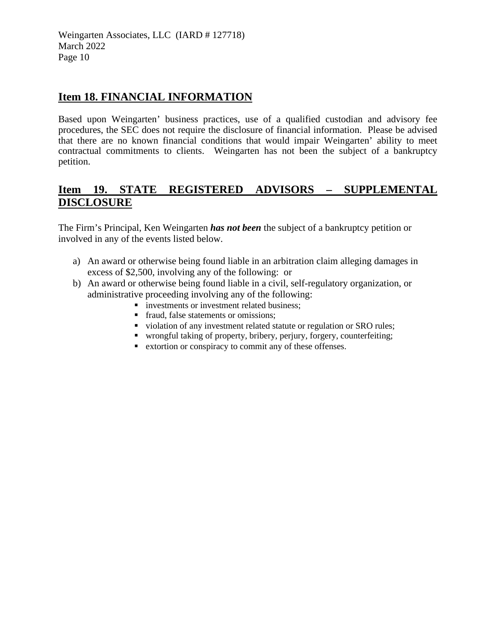### **Item 18. FINANCIAL INFORMATION**

Based upon Weingarten' business practices, use of a qualified custodian and advisory fee procedures, the SEC does not require the disclosure of financial information. Please be advised that there are no known financial conditions that would impair Weingarten' ability to meet contractual commitments to clients. Weingarten has not been the subject of a bankruptcy petition.

### **Item 19. STATE REGISTERED ADVISORS – SUPPLEMENTAL DISCLOSURE**

The Firm's Principal, Ken Weingarten *has not been* the subject of a bankruptcy petition or involved in any of the events listed below.

- a) An award or otherwise being found liable in an arbitration claim alleging damages in excess of \$2,500, involving any of the following: or
- b) An award or otherwise being found liable in a civil, self-regulatory organization, or administrative proceeding involving any of the following:
	- **i** investments or investment related business;
	- fraud, false statements or omissions;
	- violation of any investment related statute or regulation or SRO rules;
	- wrongful taking of property, bribery, perjury, forgery, counterfeiting;
	- extortion or conspiracy to commit any of these offenses.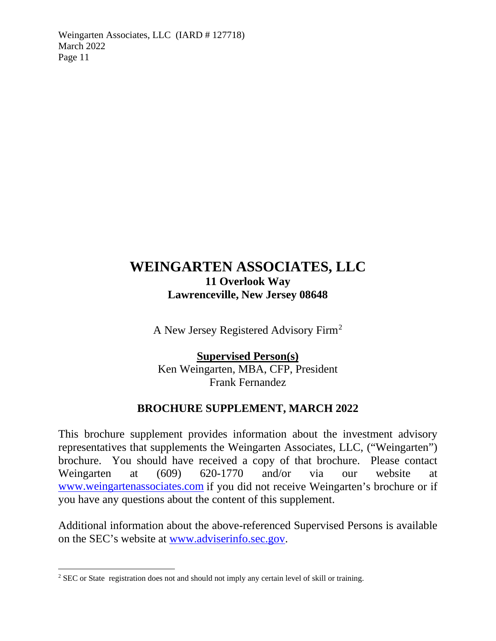# **WEINGARTEN ASSOCIATES, LLC 11 Overlook Way Lawrenceville, New Jersey 08648**

A New Jersey Registered Advisory Firm[2](#page-10-0)

**Supervised Person(s)** Ken Weingarten, MBA, CFP, President Frank Fernandez

# **BROCHURE SUPPLEMENT, MARCH 2022**

This brochure supplement provides information about the investment advisory representatives that supplements the Weingarten Associates, LLC, ("Weingarten") brochure. You should have received a copy of that brochure. Please contact Weingarten at (609) 620-1770 and/or via our website at [www.weingartenassociates.com](http://www.weingartenassociates.com/) if you did not receive Weingarten's brochure or if you have any questions about the content of this supplement.

Additional information about the above-referenced Supervised Persons is available on the SEC's website at [www.adviserinfo.sec.gov.](http://www.adviserinfo.sec.gov/)

<span id="page-10-0"></span><sup>&</sup>lt;sup>2</sup> SEC or State registration does not and should not imply any certain level of skill or training.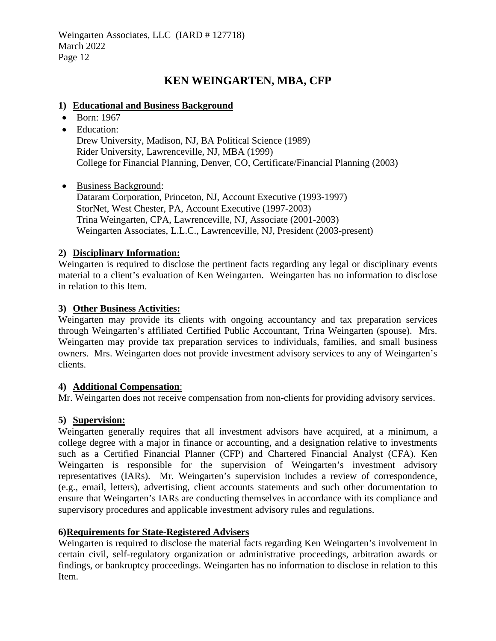### **KEN WEINGARTEN, MBA, CFP**

#### **1) Educational and Business Background**

- Born: 1967
- Education: Drew University, Madison, NJ, BA Political Science (1989) Rider University, Lawrenceville, NJ, MBA (1999) College for Financial Planning, Denver, CO, Certificate/Financial Planning (2003)

• Business Background: Dataram Corporation, Princeton, NJ, Account Executive (1993-1997) StorNet, West Chester, PA, Account Executive (1997-2003) Trina Weingarten, CPA, Lawrenceville, NJ, Associate (2001-2003) Weingarten Associates, L.L.C., Lawrenceville, NJ, President (2003-present)

#### **2) Disciplinary Information:**

Weingarten is required to disclose the pertinent facts regarding any legal or disciplinary events material to a client's evaluation of Ken Weingarten. Weingarten has no information to disclose in relation to this Item.

#### **3) Other Business Activities:**

Weingarten may provide its clients with ongoing accountancy and tax preparation services through Weingarten's affiliated Certified Public Accountant, Trina Weingarten (spouse). Mrs. Weingarten may provide tax preparation services to individuals, families, and small business owners. Mrs. Weingarten does not provide investment advisory services to any of Weingarten's clients.

#### **4) Additional Compensation**:

Mr. Weingarten does not receive compensation from non-clients for providing advisory services.

### **5) Supervision:**

Weingarten generally requires that all investment advisors have acquired, at a minimum, a college degree with a major in finance or accounting, and a designation relative to investments such as a Certified Financial Planner (CFP) and Chartered Financial Analyst (CFA). Ken Weingarten is responsible for the supervision of Weingarten's investment advisory representatives (IARs). Mr. Weingarten's supervision includes a review of correspondence, (e.g., email, letters), advertising, client accounts statements and such other documentation to ensure that Weingarten's IARs are conducting themselves in accordance with its compliance and supervisory procedures and applicable investment advisory rules and regulations.

#### **6)Requirements for State-Registered Advisers**

Weingarten is required to disclose the material facts regarding Ken Weingarten's involvement in certain civil, self-regulatory organization or administrative proceedings, arbitration awards or findings, or bankruptcy proceedings. Weingarten has no information to disclose in relation to this Item.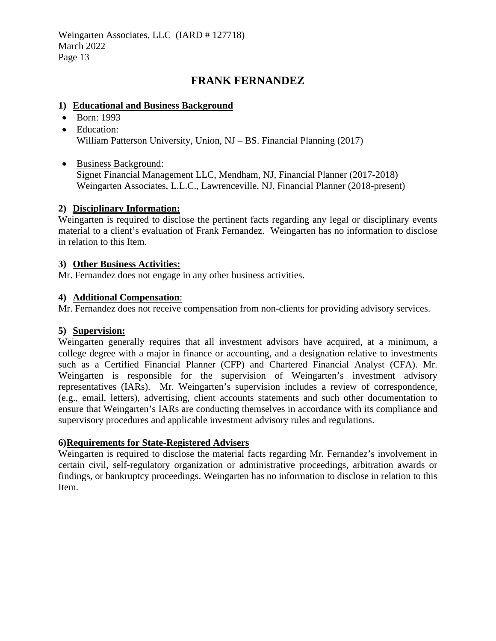### **FRANK FERNANDEZ**

#### **1) Educational and Business Background**

- Born: 1993
- Education: William Patterson University, Union, NJ – BS. Financial Planning (2017)
- Business Background:

Signet Financial Management LLC, Mendham, NJ, Financial Planner (2017-2018) Weingarten Associates, L.L.C., Lawrenceville, NJ, Financial Planner (2018-present)

### **2) Disciplinary Information:**

Weingarten is required to disclose the pertinent facts regarding any legal or disciplinary events material to a client's evaluation of Frank Fernandez. Weingarten has no information to disclose in relation to this Item.

### **3) Other Business Activities:**

Mr. Fernandez does not engage in any other business activities.

### **4) Additional Compensation**:

Mr. Fernandez does not receive compensation from non-clients for providing advisory services.

#### **5) Supervision:**

Weingarten generally requires that all investment advisors have acquired, at a minimum, a college degree with a major in finance or accounting, and a designation relative to investments such as a Certified Financial Planner (CFP) and Chartered Financial Analyst (CFA). Mr. Weingarten is responsible for the supervision of Weingarten's investment advisory representatives (IARs). Mr. Weingarten's supervision includes a review of correspondence, (e.g., email, letters), advertising, client accounts statements and such other documentation to ensure that Weingarten's IARs are conducting themselves in accordance with its compliance and supervisory procedures and applicable investment advisory rules and regulations.

### **6)Requirements for State-Registered Advisers**

Weingarten is required to disclose the material facts regarding Mr. Fernandez's involvement in certain civil, self-regulatory organization or administrative proceedings, arbitration awards or findings, or bankruptcy proceedings. Weingarten has no information to disclose in relation to this Item.